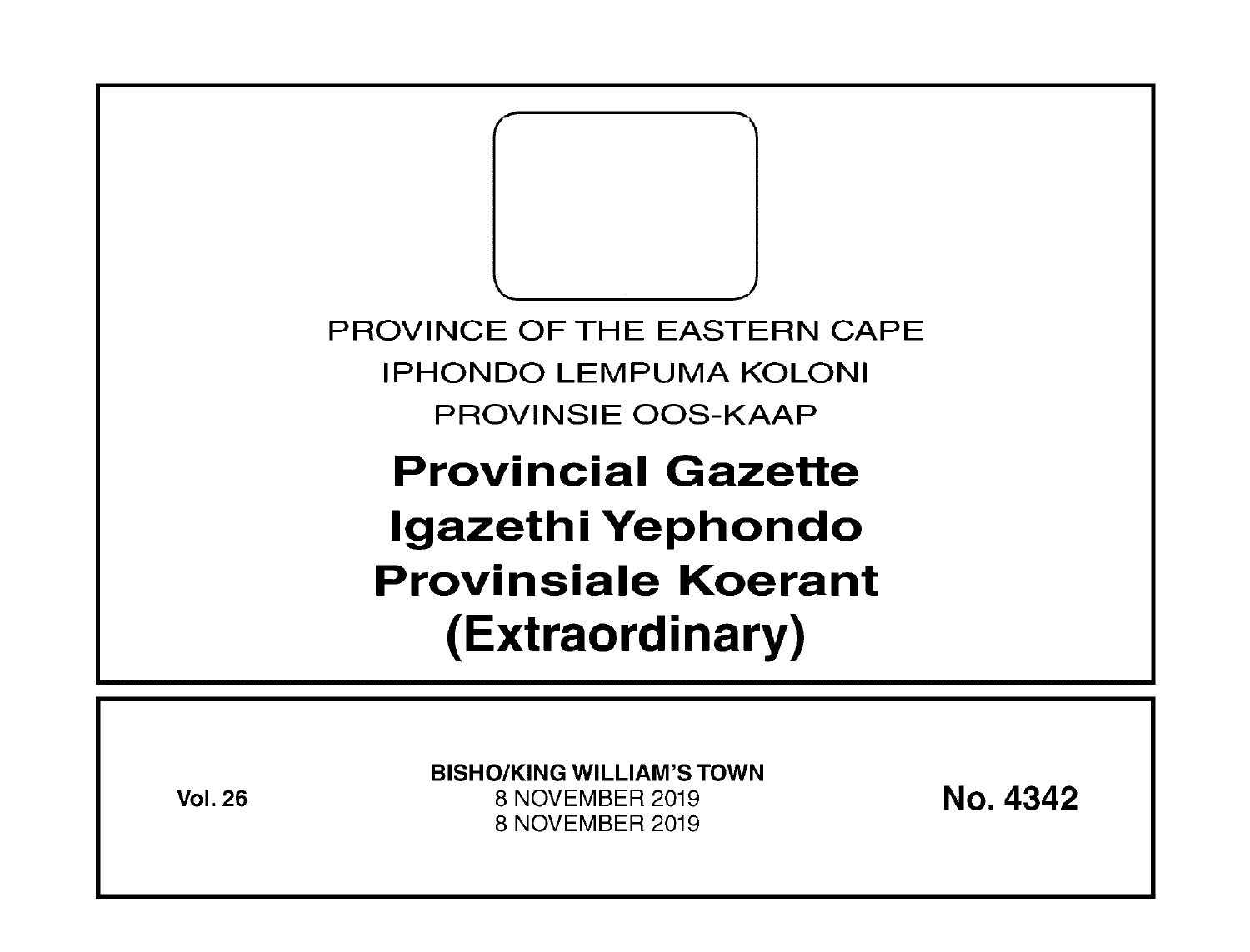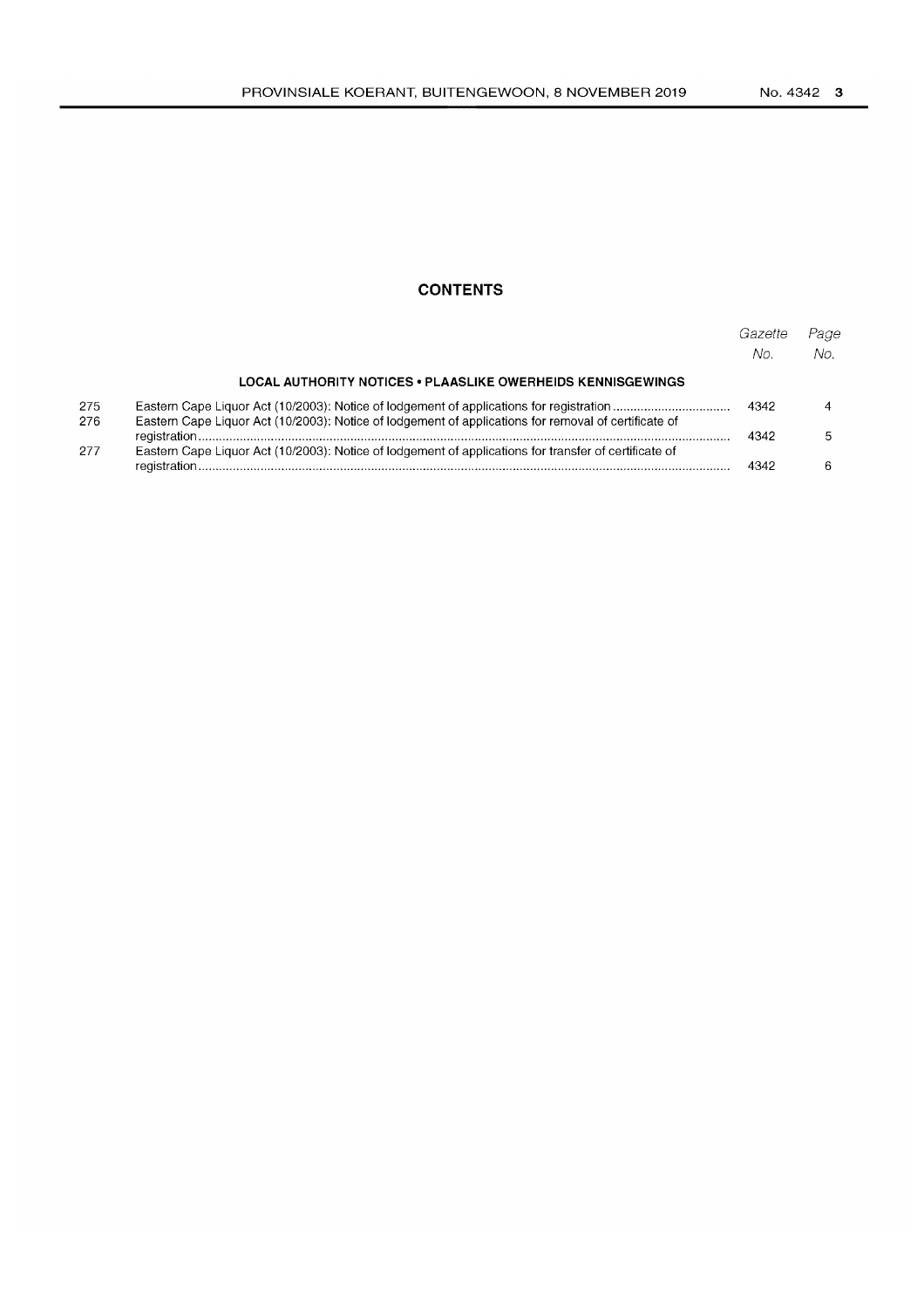## **CONTENTS**

|            |                                                                                                       | Gazette<br>No. | Page<br>NΩ |
|------------|-------------------------------------------------------------------------------------------------------|----------------|------------|
|            | LOCAL AUTHORITY NOTICES • PLAASLIKE OWERHEIDS KENNISGEWINGS                                           |                |            |
| 275<br>276 | Eastern Cape Liquor Act (10/2003): Notice of lodgement of applications for removal of certificate of  | 4342           |            |
|            |                                                                                                       | 4342           |            |
| 277        | Eastern Cape Liquor Act (10/2003): Notice of lodgement of applications for transfer of certificate of | 4342           |            |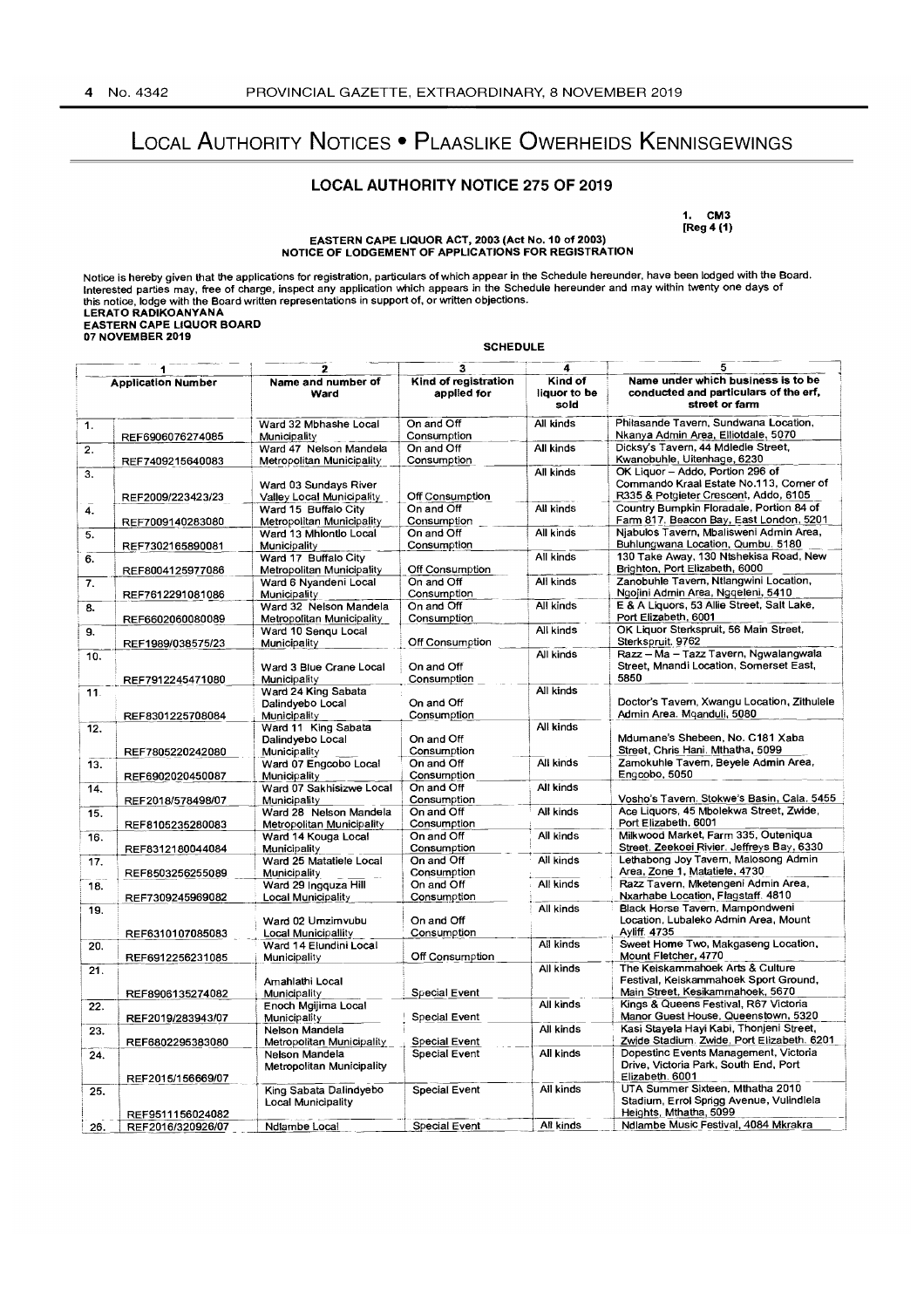# LOCAL AUTHORITY NOTICES • PLAASLIKE OWERHEIDS KENNISGEWINGS

## **LOCAL AUTHORITY NOTICE** 275 **OF** 2019

1. CM3 [Reg4(1)

# EASTERN CAPE LIQUOR ACT, 2003 (Act No.10 of 2003) NOTICE OF LODGEMENT OF APPLICATIONS FOR REGISTRATION

Notice is hereby given that the applications for registration, particulars of which appear in the Schedule hereunder, have been lodged with the Board.<br>Interested parties may, free of charge, inspect any application which a

|     |                           |                                                     | <b>SCHEDULE</b>                     |                                 |                                                                                                                     |
|-----|---------------------------|-----------------------------------------------------|-------------------------------------|---------------------------------|---------------------------------------------------------------------------------------------------------------------|
|     |                           | 2                                                   | 3                                   | 4                               |                                                                                                                     |
|     | <b>Application Number</b> | Name and number of<br>Ward                          | Kind of registration<br>applied for | Kind of<br>liquor to be<br>sold | Name under which business is to be<br>conducted and particulars of the erf,<br>street or farm                       |
| 1.  | REF6906076274085          | Ward 32 Mbhashe Local<br>Municipality               | On and Off<br>Consumption           | All kinds                       | Philasande Tavern, Sundwana Location.<br>Nkanya Admin Area, Elliotdale, 5070                                        |
| 2.  | REF7409215640083          | Ward 47 Nelson Mandela<br>Metropolitan Municipality | On and Off<br>Consumption           | All kinds                       | Dicksy's Tavern, 44 Mdledle Street,<br>Kwanobuhle, Uitenhage, 6230                                                  |
| 3.  | REF2009/223423/23         | Ward 03 Sundays River<br>Valley Local Municipality  | Off Consumption                     | All kinds                       | OK Liquor - Addo, Portion 296 of<br>Commando Kraal Estate No.113, Comer of<br>R335 & Potgieter Crescent, Addo, 6105 |
| 4.  | REF7009140283080          | Ward 15 Buffalo City<br>Metropolitan Municipality   | On and Off<br>Consumption           | All kinds                       | Country Bumpkin Floradale, Portion 84 of<br>Farm 817. Beacon Bay, East London, 5201                                 |
| 5.  | REF7302165890081          | Ward 13 Mhlontlo Local<br>Municipality              | On and Off<br>Consumption           | All kinds                       | Njabulos Tavern, Mbalisweni Admin Area,<br>Buhlungwana Location, Qumbu, 5180                                        |
| 6.  | REF8004125977086          | Ward 17 Buffalo City<br>Metropolitan Municipality   | Off Consumption                     | All kinds                       | 130 Take Away, 130 Ntshekisa Road, New<br>Brighton, Port Elizabeth, 6000                                            |
| 7.  | REF7612291081086          | Ward 6 Nyandeni Local<br>Municipality               | On and Off<br>Consumption           | All kinds                       | Zanobuhle Tavern, Ntlangwini Location,<br>Ngojini Admin Area, Ngqeleni, 5410                                        |
| 8.  | REF6602060080089          | Ward 32 Nelson Mandela<br>Metropolitan Municipality | On and Off<br>Consumption           | All kinds                       | E & A Liquors, 53 Allie Street, Salt Lake,<br>Port Elizabeth, 6001                                                  |
| 9.  | REF1989/038575/23         | Ward 10 Sengu Local<br>Municipality                 | Off Consumption                     | All kinds                       | OK Liquor Sterkspruit, 56 Main Street,<br>Sterkspruit. 9762                                                         |
| 10. | REF7912245471080          | Ward 3 Blue Crane Local<br>Municipality             | On and Off<br>Consumption           | All kinds                       | Razz - Ma - Tazz Tavern, Ngwalangwala<br>Street, Mnandi Location, Somerset East,<br>5850                            |
| 11. |                           | Ward 24 King Sabata<br>Dalindyebo Local             | On and Off                          | All kinds                       | Doctor's Tavern, Xwangu Location, Zithulele                                                                         |
| 12. | REF8301225708084          | Municipality<br>Ward 11 King Sabata                 | Consumption                         | All kinds                       | Admin Area. Mganduli, 5080                                                                                          |
|     | REF7805220242080          | Dalindyebo Local<br>Municipality                    | On and Off<br>Consumption           |                                 | Mdumane's Shebeen, No. C181 Xaba<br>Street, Chris Hani, Mthatha, 5099                                               |
| 13. | REF6902020450087          | Ward 07 Engcobo Local<br>Municipality               | On and Off<br>Consumption           | All kinds                       | Zamokuhle Tavern, Beyele Admin Area,<br>Engcobo, 5050                                                               |
| 14. | REF2018/578498/07         | Ward 07 Sakhisizwe Local<br>Municipality            | On and Off<br>Consumption           | All kinds                       | Vosho's Tavern. Stokwe's Basin, Cala. 5455                                                                          |
| 15. | REF8105235280083          | Ward 28 Nelson Mandela<br>Metropolitan Municipality | On and Off<br>Consumption           | All kinds                       | Ace Liquors, 45 Mbolekwa Street, Zwide,<br>Port Elizabeth, 6001                                                     |
| 16. | REF8312180044084          | Ward 14 Kouga Local<br>Municipality                 | On and Off<br>Consumption           | All kinds                       | Milkwood Market, Farm 335, Outeniqua<br>Street. Zeekoei Rivier. Jeffreys Bay, 6330                                  |
| 17. | REF8503256255089          | Ward 25 Matatiele Local<br>Municipality             | On and Off<br>Consumption           | All kinds                       | Lethabong Joy Tavern, Malosong Admin<br>Area, Zone 1, Matatiele, 4730                                               |
| 18. | REF7309245969082          | Ward 29 Ingquza Hill<br>Local Municipality          | On and Off<br>Consumption           | All kinds                       | Razz Tavern, Mketengeni Admin Area,<br>Nxarhabe Location, Flagstaff. 4810                                           |
| 19. | REF6310107085083          | Ward 02 Umzimvubu<br>Local Municipallity            | On and Off<br>Consumption           | All kinds                       | Black Horse Tavern, Mampondweni<br>Location, Lubaleko Admin Area, Mount<br>Ayliff. 4735                             |
| 20. | REF6912256231085          | Ward 14 Elundini Local<br>Municipality              | Off Consumption                     | All kinds                       | Sweet Home Two, Makgaseng Location,<br>Mount Fletcher, 4770                                                         |
| 21. |                           | Amahlathi Local                                     |                                     | All kinds                       | The Keiskammahoek Arts & Culture<br>Festival, Keiskammahoek Sport Ground,                                           |
| 22. | REF8906135274082          | Municipality<br>Enoch Mgijima Local                 | Special Event                       | All kinds                       | Main Street, Kesikammahoek, 5670<br>Kings & Queens Festival, R67 Victoria                                           |
| 23. | REF2019/283943/07         | Municipality<br>Nelson Mandela                      | Special Event                       | All kinds                       | Manor Guest House, Queenstown, 5320<br>Kasi Stayela Hayi Kabi, Thonjeni Street,                                     |
| 24. | REF6802295383080          | Metropolitan Municipality<br>Nelson Mandela         | Special Event<br>Special Event      | All kinds                       | Zwide Stadium. Zwide, Port Elizabeth. 6201<br>Dopestinc Events Management, Victoria                                 |
|     | REF2015/156669/07         | <b>Metropolitan Municipality</b>                    |                                     |                                 | Drive, Victoria Park, South End, Port<br>Elizabeth. 6001                                                            |
| 25. | REF9511156024082          | King Sabata Dalindyebo<br>Local Municipality        | Special Event                       | All kinds                       | UTA Summer Sixteen, Mthatha 2010<br>Stadium, Errol Sprigg Avenue, Vulindlela<br>Heights, Mthatha, 5099              |
| 26. | REF2016/320926/07         | Ndiambe Local                                       | Special Event                       | All kinds                       | Ndlambe Music Festival, 4084 Mkrakra                                                                                |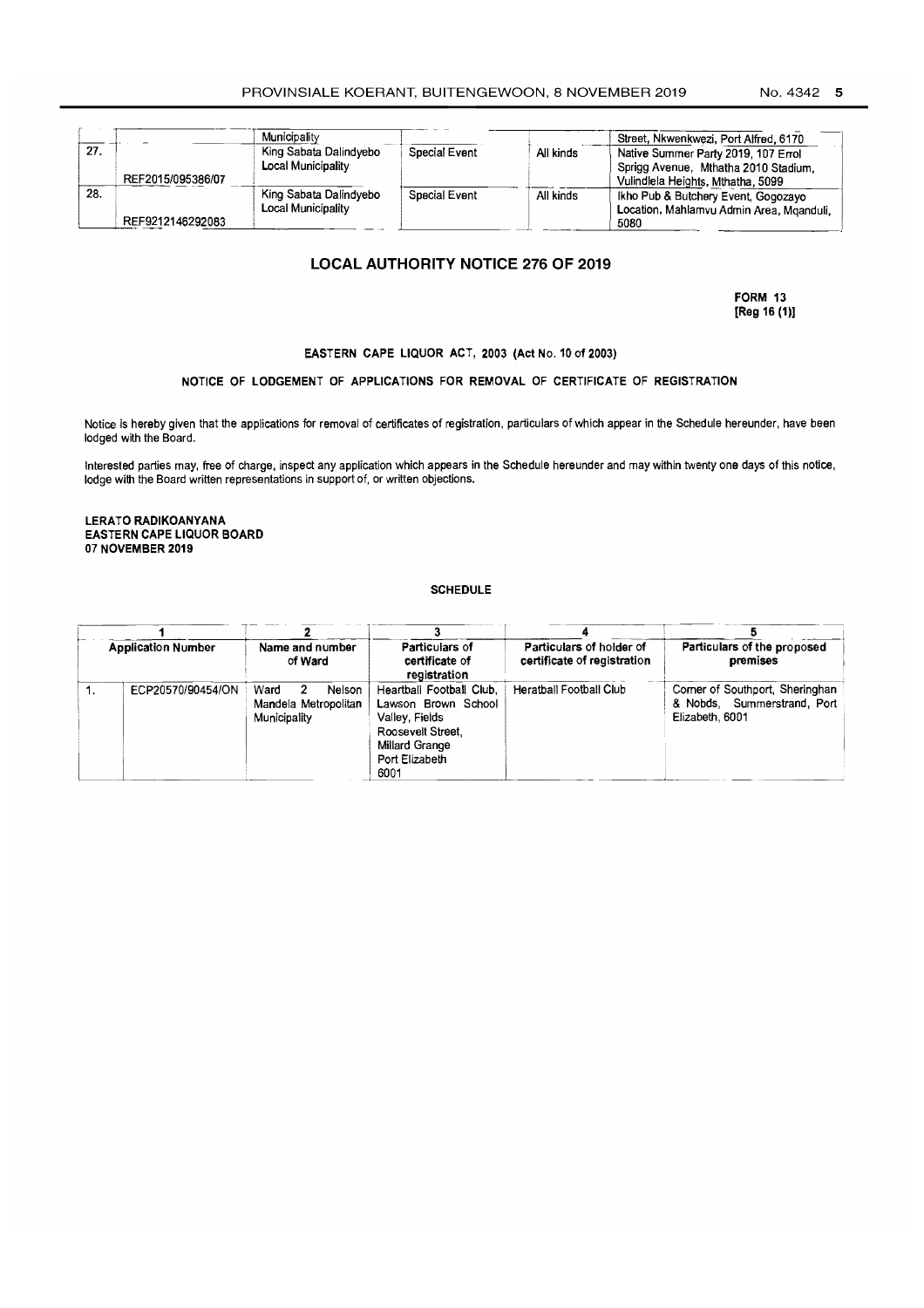|     |                   | Municipality              |                      |           | Street, Nkwenkwezi, Port Alfred, 6170    |
|-----|-------------------|---------------------------|----------------------|-----------|------------------------------------------|
| 27. |                   | King Sabata Dalindvebo    | <b>Special Event</b> | All kinds | Native Summer Party 2019, 107 Errol      |
|     |                   | Local Municipality        |                      |           | Sprigg Avenue, Mthatha 2010 Stadium.     |
|     | REF2015/095386/07 |                           |                      |           | Vulindlela Heights, Mthatha, 5099        |
| 28. |                   | King Sabata Dalindyebo    | Special Event        | All kinds | Ikho Pub & Butchery Event, Gogozavo      |
|     |                   | <b>Local Municipality</b> |                      |           | Location, Mahlamvu Admin Area, Mganduli, |
|     | REF9212146292083  |                           |                      |           | 5080                                     |

## **LOCAL AUTHORITY NOTICE 276 OF 2019**

FORM 13 [Reg 16 (1)]

#### EASTERN CAPE LIQUOR ACT, 2003 (Act No. 10 of 2003)

#### NOTICE OF LODGEMENT OF APPLICATIONS FOR REMOVAL OF CERTIFICATE OF REGISTRATION

Notice is hereby given that the applications for removal of certificates of registration, particulars of which appear in the Schedule hereunder, have been lodged with the Board.

Interested parties may, free of charge, inspect any application which appears in the Schedule hereunder and may within twenty one days of this notice, lodge with the Board written representations in support of, or written objections.

LERATO RADIKOANYANA EASTERN CAPE LIQUOR BOARD 07 NOVEMBER 2019

#### **SCHEDULE**

|    | <b>Application Number</b> | Name and number<br>of Ward                                   | Particulars of<br>certificate of<br>registration                                                                                   | Particulars of holder of<br>certificate of registration | Particulars of the proposed<br>premises                                           |
|----|---------------------------|--------------------------------------------------------------|------------------------------------------------------------------------------------------------------------------------------------|---------------------------------------------------------|-----------------------------------------------------------------------------------|
| ٦. | ECP20570/90454/ON         | Ward<br>Nelson<br>-2<br>Mandela Metropolitan<br>Municipality | Heartball Football Club.<br>Lawson Brown School<br>Valley, Fields<br>Roosevelt Street.<br>Millard Grange<br>Port Elizabeth<br>6001 | Heratball Football Club                                 | Corner of Southport, Sheringhan<br>& Nobds, Summerstrand, Port<br>Elizabeth, 6001 |